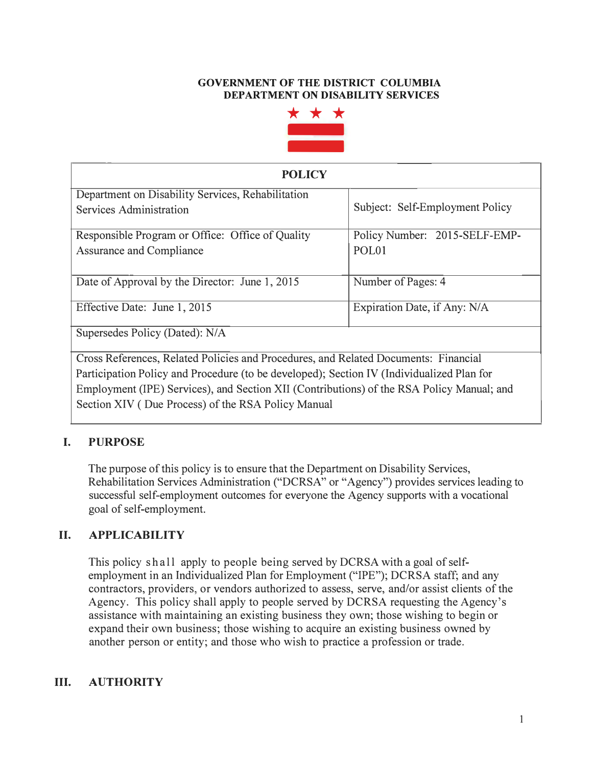#### **GOVERNMENT OF THE DISTRICT COLUMBIA DEPARTMENT ON DISABILITY SERVICES**



| <b>POLICY</b>                                                                             |                                                    |
|-------------------------------------------------------------------------------------------|----------------------------------------------------|
| Department on Disability Services, Rehabilitation<br>Services Administration              | Subject: Self-Employment Policy                    |
| Responsible Program or Office: Office of Quality<br><b>Assurance and Compliance</b>       | Policy Number: 2015-SELF-EMP-<br>POL <sub>01</sub> |
| Date of Approval by the Director: June 1, 2015                                            | Number of Pages: 4                                 |
| Effective Date: June 1, 2015                                                              | Expiration Date, if Any: N/A                       |
| Supersedes Policy (Dated): N/A                                                            |                                                    |
| Cross References, Related Policies and Procedures, and Related Documents: Financial       |                                                    |
| Participation Policy and Procedure (to be developed); Section IV (Individualized Plan for |                                                    |
| Employment (IPE) Services), and Section XII (Contributions) of the RSA Policy Manual; and |                                                    |
| Section XIV (Due Process) of the RSA Policy Manual                                        |                                                    |

# **I. PURPOSE**

The purpose of this policy is to ensure that the Department on Disability Services, Rehabilitation Services Administration ("DCRSA" or "Agency") provides services leading to successful self-employment outcomes for everyone the Agency supports with a vocational goal of self-employment.

# **II. APPLICABILITY**

This policy shall apply to people being served by DCRSA with a goal of selfemployment in an Individualized Plan for Employment ("IPE"); DCRSA staff; and any contractors, providers, or vendors authorized to assess, serve, and/or assist clients of the Agency. This policy shall apply to people served by DCRSA requesting the Agency's assistance with maintaining an existing business they own; those wishing to begin or expand their own business; those wishing to acquire an existing business owned by another person or entity; and those who wish to practice a profession or trade.

## **III. AUTHORITY**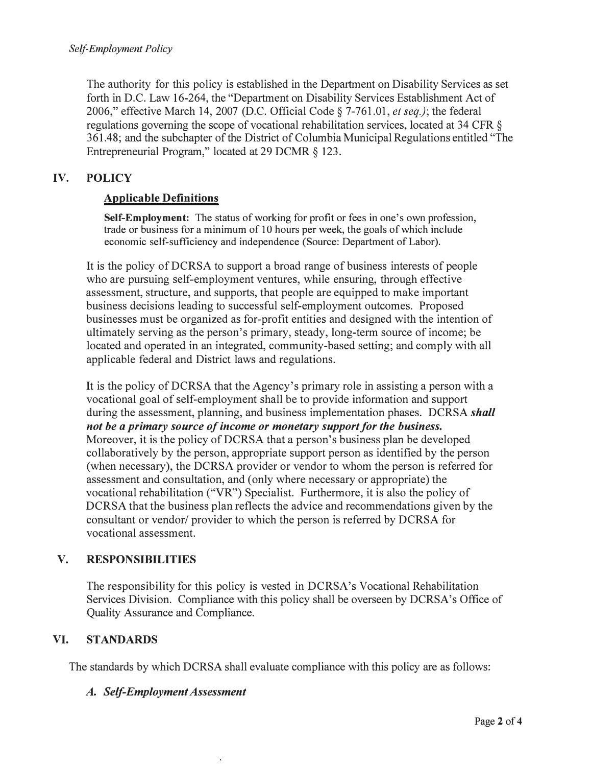The authority for this policy is established in the Department on Disability Services as set forth in D.C. Law 16-264, the "Department on Disability Services Establishment Act of 2006," effective March 14, 2007 (D.C. Official Code§ 7-761.01, *et seq.);* the federal regulations governing the scope of vocational rehabilitation services, located at 34 CFR § 361.48; and the subchapter of the District of Columbia Municipal Regulations entitled "The Entrepreneurial Program," located at 29 DCMR § 123.

## **IV. POLICY**

## **Applicable Definitions**

**Self-Employment:** The status of working for profit or fees in one's own profession, trade or business for a minimum of 10 hours per week, the goals of which include economic self-sufficiency and independence (Source: Department of Labor).

It is the policy of DCRSA to support a broad range of business interests of people who are pursuing self-employment ventures, while ensuring, through effective assessment, structure, and supports, that people are equipped to make important business decisions leading to successful self-employment outcomes. Proposed businesses must be organized as for-profit entities and designed with the intention of ultimately serving as the person's primary, steady, long-term source of income; be located and operated in an integrated, community-based setting; and comply with all applicable federal and District laws and regulations.

It is the policy of DCRSA that the Agency's primary role in assisting a person with a vocational goal of self-employment shall be to provide information and support during the assessment, planning, and business implementation phases. DCRSA *shall not be a primary source of income or monetary support for the business.*  Moreover, it is the policy of DCRSA that a person's business plan be developed collaboratively by the person, appropriate support person as identified by the person (when necessary), the DCRSA provider or vendor to whom the person is referred for assessment and consultation, and ( only where necessary or appropriate) the vocational rehabilitation ("VR") Specialist. Furthermore, it is also the policy of DCRSA that the business plan reflects the advice and recommendations given by the consultant or vendor/ provider to which the person is referred by DCRSA for vocational assessment.

## **V. RESPONSIBILITIES**

The responsibility for this policy is vested in DCRSA's Vocational Rehabilitation Services Division. Compliance with this policy shall be overseen by DCRSA's Office of Quality Assurance and Compliance.

## **VI. STANDARDS**

The standards by which DCRSA shall evaluate compliance with this policy are as follows:

#### *A. Self-Employment Assessment*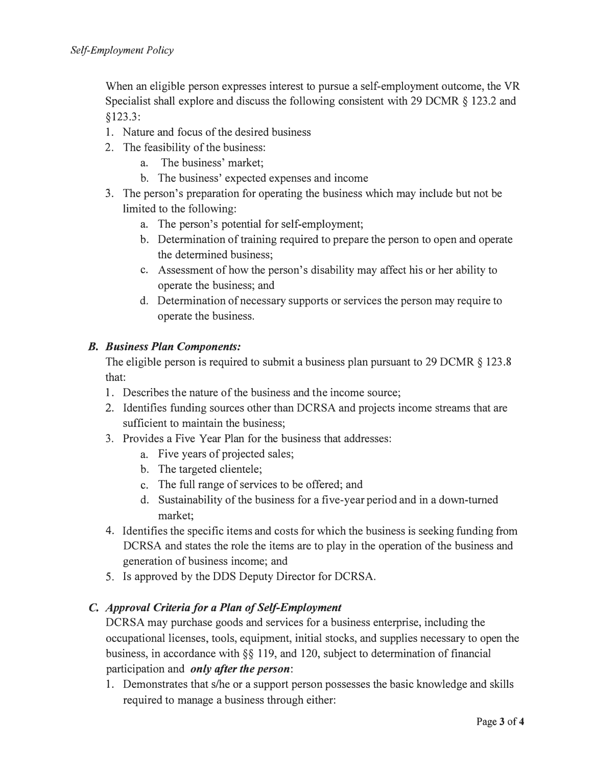When an eligible person expresses interest to pursue a self-employment outcome, the VR Specialist shall explore and discuss the following consistent with 29 DCMR  $\S$  123.2 and § 123.3:

- 1. Nature and focus of the desired business
- 2. The feasibility of the business:
	- a. The business' market;
	- b. The business' expected expenses and income
- 3. The person's preparation for operating the business which may include but not be limited to the following:
	- a. The person's potential for self-employment;
	- b. Determination of training required to prepare the person to open and operate the determined business;
	- c. Assessment of how the person's disability may affect his or her ability to operate the business; and
	- d. Determination of necessary supports or services the person may require to operate the business.

## *B. Business Plan Components:*

The eligible person is required to submit a business plan pursuant to 29 DCMR § 123.8 that:

- 1. Describes the nature of the business and the income source;
- 2. Identifies funding sources other than DCRSA and projects income streams that are sufficient to maintain the business;
- 3. Provides a Five Year Plan for the business that addresses:
	- a. Five years of projected sales;
	- b. The targeted clientele;
	- c. The full range of services to be offered; and
	- d. Sustainability of the business for a five-year period and in a down-turned market;
- 4. Identifies the specific items and costs for which the business is seeking funding from DCRSA and states the role the items are to play in the operation of the business and generation of business income; and
- 5. Is approved by the DDS Deputy Director for DCRSA.

# **C.** *Approval Criteria for a Plan of Self-Employment*

DCRSA may purchase goods and services for a business enterprise, including the occupational licenses, tools, equipment, initial stocks, and supplies necessary to open the business, in accordance with§§ 119, and 120, subject to determination of financial participation and *only after the person:*

1. Demonstrates that s/he or a support person possesses the basic knowledge and skills required to manage a business through either: